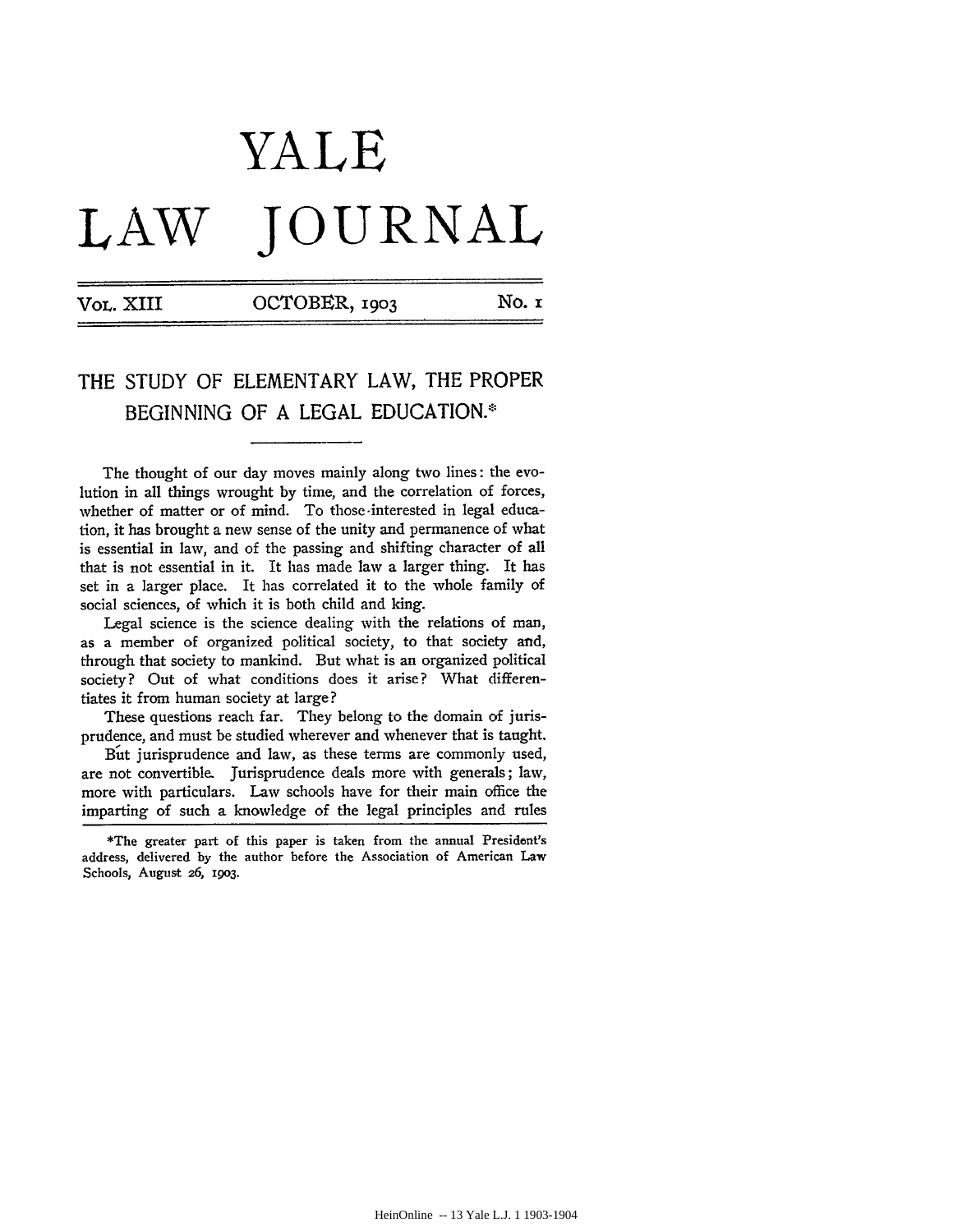## **YALE** LAW **JOURNAL**

| Vor. XIII | OCTOBER, 1903 | No. 1 |
|-----------|---------------|-------|
|-----------|---------------|-------|

## THE **STUDY** OF ELEMENTARY LAW, THE PROPER **BEGINNING** OF **A LEGAL EDUCATION.\***

The thought of our day moves mainly along two lines: the evolution in all things wrought by time, and the correlation of forces, whether of matter or of mind. To those interested in legal education, it has brought a new sense of the unity and permanence of what is essential in law, and of the passing and shifting character of all that is not essential in it. It has made law a larger thing. It has set in a larger place. It has correlated it to the whole family of social sciences, of which it is both child and king.

Legal science is the science dealing with the relations of man, as a member of organized political society, to that society and, through that society to mankind. But what is an organized political society? Out of what conditions does it arise? What differentiates it from human society at large?

These questions reach far. They belong to the domain of jurisprudence, and must be studied wherever and whenever that is taught.

But jurisprudence and law, as these terms are commonly used, are not convertible. Jurisprudence deals more with generals; law, more with particulars. Law schools have for their main office the imparting of such a knowledge of the legal principles and rules

<sup>\*</sup>The greater part of this paper is taken from the annual President's address, delivered by the author before the Association of American Law Schools, August **26,** i9o3.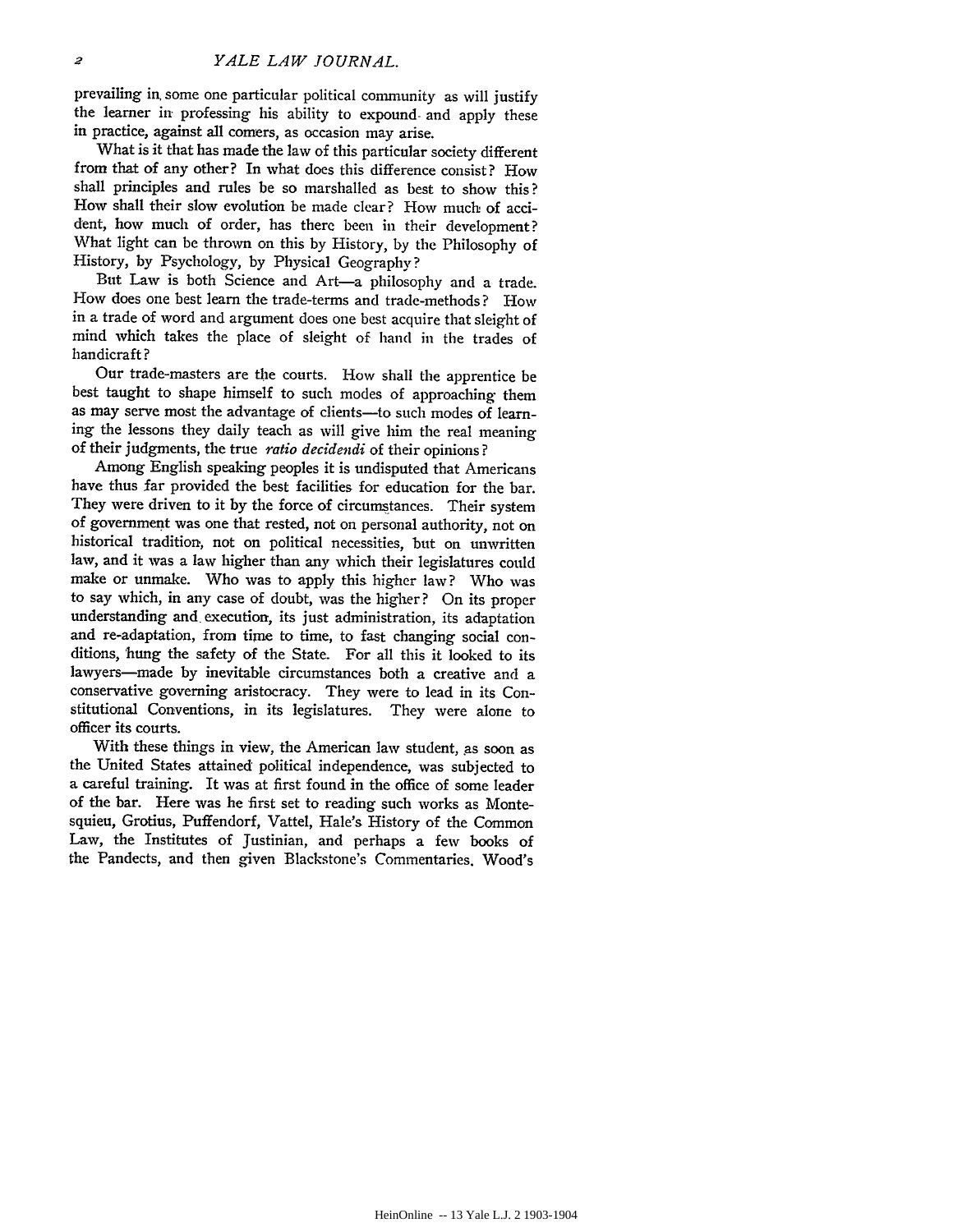prevailing in, some one particular political community as will justify the learner in: professing his ability to expound. and apply these in practice, against all comers, as occasion may arise.

What is it that has made the law of this particular society different from that of any other? In what does this difference consist? How shall principles and rules be so marshalled as best to show this? How shall their slow evolution be made clear? How much, of accident, how much of order, has there been in their development? What light can be thrown on this by History, by the Philosophy of History, by Psychology, by Physical Geography?

But Law is both Science and Art-a philosophy and a trade. How does one best learn the trade-terms and trade-methods? How in a trade of word and argument does one best acquire that sleight of mind which takes the place of sleight of hand in the trades of handicraft?

Our trade-masters are the courts. How shall the apprentice be best taught to shape himself to such modes of approaching them as may serve most the advantage of clients-to such modes of learning the lessons they daily teach as will give him the real meaning of their judgments, the true *ratio decidendi* of their opinions?

Among English speaking peoples it is undisputed that Americans have thus far provided the best facilities for education for the bar. They were driven to it by the force of circumstances. Their system of government was one that rested, not on personal authority, not on historical tradition, not on political necessities, but on unwritten law, and it was a law higher than any which their legislatures could make or unmake. Who was to apply this higher law? Who was to say which, in any case of doubt, was the higher? On its proper understanding and execution, its just administration, its adaptation and re-adaptation, from time to time, to fast changing social conditions, hung the safety of the State. For all this it looked to its lawyers-made by inevitable circumstances both a creative and a conservative governing aristocracy. They were to lead in its Constitutional Conventions, in its legislatures. They were alone to officer its courts.

With these things in view, the American law student, as soon as the United States attained political independence, was subjected to a careful training. It was at first found in the office of some leader of the bar. Here was he first set to reading such works as Montesquieu, Grotius, Puffendorf, Vattel, Hale's History of the Common Law, the Institutes of Justinian, and perhaps a few books of the Pandects, and then given Blackstone's Commentaries. Wood's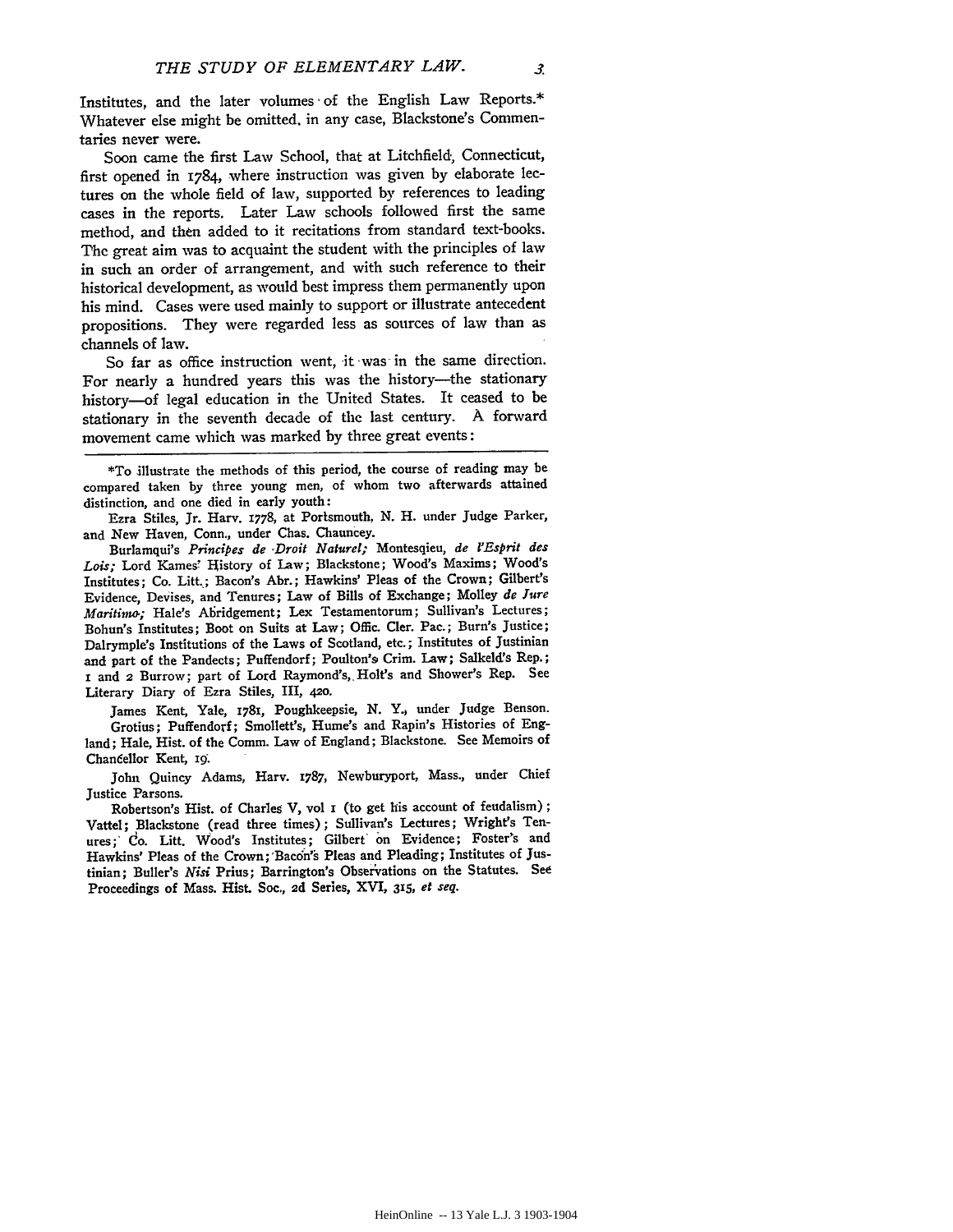Institutes, and the later volumes of the English Law Reports.\* Whatever else might be omitted, in any case, Blackstone's Commentaries never were.

Soon came the first Law School, that at Litchfield, Connecticut, first opened in **1784,** where instruction was given **by** elaborate lectures on the whole field of law, supported **by** references to leading cases in the reports. Later Law schools followed first the same method, and then added to it recitations from standard text-books. **The** great aim was to acquaint the student with the principles of law in such an order of arrangement, and with such reference to their historical development, as would best impress them permanently upon his mind. Cases were used mainly to support or illustrate antecedent propositions. They were regarded less as sources of law than as channels of **law.**

So far as office instruction went, it was in the same direction. For nearly a hundred years this was the history-the stationary history-of legal education in the United States. It ceased to be stationary in the seventh decade of the last century. **A** forvard movement came which was marked **by** three great events:

\*To illustrate the methods of this period, the course of reading may be compared taken by three young men, of whom two afterwards attained distinction, and one died in early youth:

Ezra Stiles, Jr. Harv. 1778, at Portsmouth, **N.** H. under Judge Parker, and New Haven, Conn., under Chas. Chauncey.

Burlamqui's *Principes de Droit Naturel;* Montesqieu, *de l'Esprit des Lois;* Lord Kames" History of Law; Blackstone; Wood's Maxims; Wood's Institutes; Co. Litt.; Bacon's Abr.; Hawkins' Pleas of the Crown; Gilbert's Evidence, Devises, and Tenures; Law of Bills of Exchange; Molley *de lure Maritirn.;* Hale's Abridgement; **Lex** Testamentorum; Sullivan's Lectures; Bohun's Institutes; Boot on Suits at Law; **Offic.** Cler. Pac.; Burn's Justice; Dalrymple's Institutions of the Laws of Scotland, etc.; Institutes of Justinian and part of the Pandects; Puffendorf; Poulton's Crim. Law; Salkeld's Rep.; i and **2** Burrow; part of Lord Raymond's, **Holt's** and Shower's Rep. See Literary Diary of Ezra Stiles, **III, 42o.**

James Kent, Yale, 178Y, Poughkeepsie, **N.** Y., under Judge Benson. Grotius; Puffendorf; Smollett's, Hume's and Rapin's Histories of England; Hale, Hist. of the Comm. Law of England; Blackstone. See Memoirs of Chandellor Kent, **ig.**

John Quincy Adams, Harv. **1787,** Newburyport, Mass., under Chief Justice Parsons.

Robertson's Hist. of Charles V, vol **i** (to get his account of feudalism) Vattel; Blackstone (read three times); Sullivan's Lectures; Wright's Tenures; Co. Litt. Wood's Institutes; Gilbert on Evidence; Foster's and Hawkins' Pleas of the Crown; Bacon's Pleas and Pleading; Institutes of Justinian; Buller's *Nisi* Prius; Barrington's Observations on the Statutes. See Proceedings of Mass. Hist. **Soc., 2d** Series, XVI, **315,** *et seq.*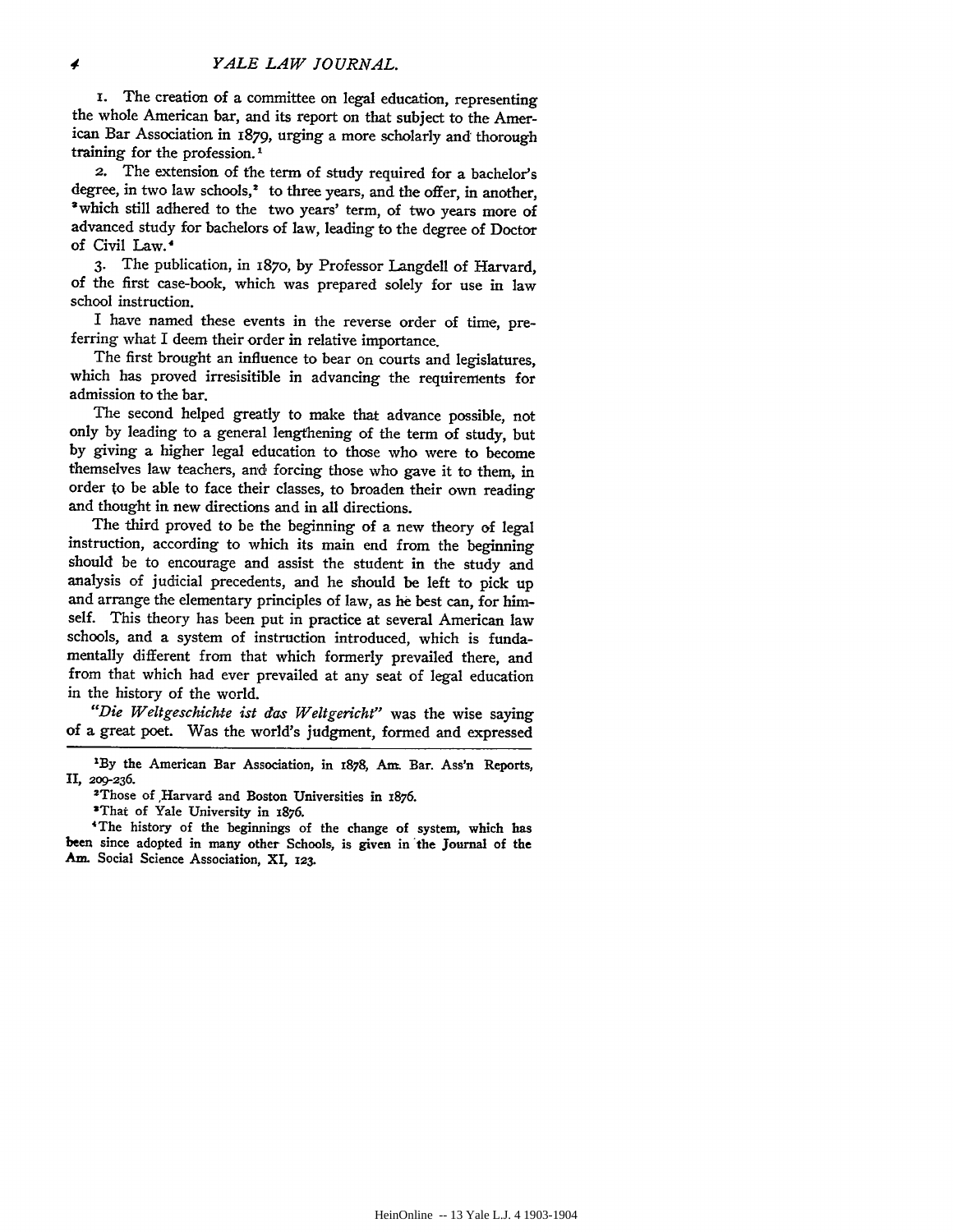**i.** The creation of a committee on legal education, representing the whole American bar, and its report on that subject to the American Bar Association in 1879, urging a more scholarly and thorough training for the profession.'

2. The extension of the term of study required for a bachelor's degree, in two law schools, $2$  to three years, and the offer, in another, \*which still adhered to the two years' term, of two years more of advanced study for bachelors of law, leading to the degree of Doctor of Civil Law.'

**3.** The publication, in 187o, by Professor Langdell of Harvard, of the first case-book, which was prepared solely for use in law school instruction.

I have named these events in the reverse order of time, preferring what I deem their order in relative importance.

The first brought an influence to bear on courts and legislatures, which has proved irresisitible in advancing the requirements for admission to the bar.

The second helped greatly to make that advance possible, not only by leading to a general lengthening of the term of study, but by giving a higher legal education to those who were to become themselves law teachers, and forcing those who gave it to them, in order to be able to face their classes, to broaden their own reading and thought in new directions and in all directions.

The third proved to be the beginning of a new theory of legal instruction, according to which its main end from the beginning should be to encourage and assist the student in the study and analysis of judicial precedents, and he should be left to pick up and arrange the elementary principles of law, as he best can, for himself. This theory has been put in practice at several American law schools, and a system of instruction introduced, which is fundamentally different from that which formerly prevailed there, and from that which had ever prevailed at any seat of legal education in the history of the world.

"Die Weltgeschichte ist das Weltgericht" was the wise saying of a great poet. Was the world's judgment, formed and expressed

\*That of Yale University in 1876.

4The history of the beginnings of the change of system, which has been since adopted in many other Schools, is given in the journal of the **Am.** Social Science Association, XI, **123.**

**<sup>&#</sup>x27;By** the American Bar Association, in 1878, Am. Bar. Ass'n Reports, *II,* 209-236.

<sup>2</sup> Those of Harvard and Boston Universities in x876.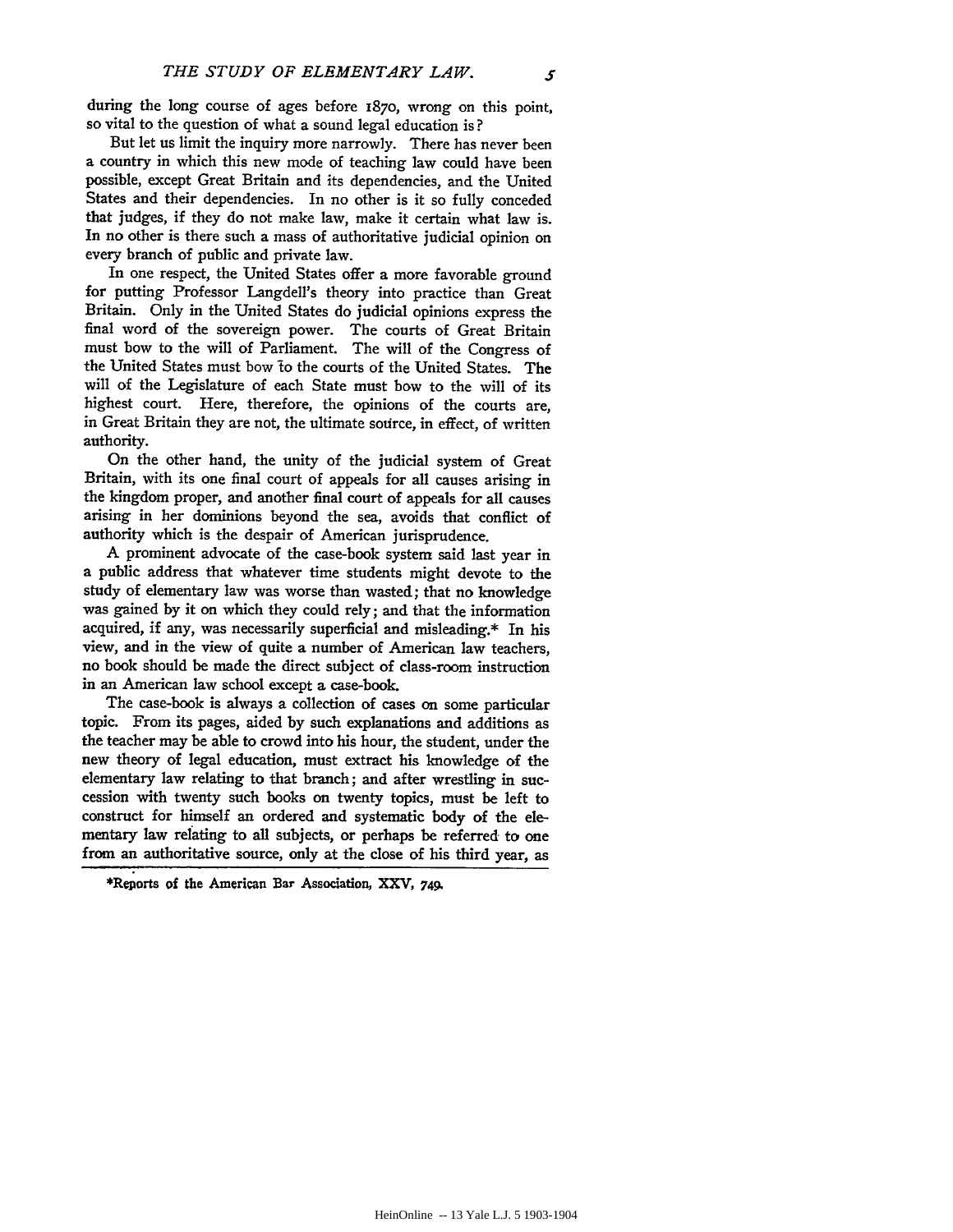during the long course of ages before **1870,** wrong on this point, so vital to the question of what a sound legal education **is?**

But let us limit the inquiry more narrowly. There has never been a country in which this new mode of teaching law could have been possible, except Great Britain and its dependencies, and the United States and their dependencies. In no other is it so fully conceded that judges, if they do not make law, make it certain what law is. In no other is there such a mass of authoritative judicial opinion on every branch of public and private law.

In one respect, the United States offer a more favorable ground for putting Professor Langdell's theory into practice than Great Britain. Only in the United States do judicial opinions express the final word of the sovereign power. The courts of Great Britain must bow to the will of Parliament. The will of the Congress of the United States must bow to the courts of the United States. The will of the Legislature of each State must bow to the will of its highest court. Here, therefore, the opinions of the courts are, in Great Britain they are not, the ultimate sotirce, in effect, of written authority.

On the other hand, the unity of the judicial system of Great Britain, with its one final court of appeals for all causes arising in the kingdom proper, and another final court of appeals for all causes arising in her dominions beyond the sea, avoids that conflict of authority which is the despair of American jurisprudence.

**A** prominent advocate of the case-book system said last year in a public address that whatever time students might devote to the study of elementary law was worse than wasted; that no knowledge was gained **by** it on which they could rely; and that the information acquired, if any, was necessarily superficial and misleading.\* In his view, and in the view of quite a number of American law teachers, no book should be made the direct subject of class-room instruction in an American law school except a case-book.

The case-book is always a collection of cases on some particular topic. From its pages, aided **by** such explanations and additions as the teacher may be able to crowd into his hour, the student, under the new theory of legal education, must extract his knowledge of the elementary law relating to that branch; and after wrestling in succession with twenty such books on twenty topics, must be left to construct for himself an ordered and systematic body of the elementary law relating to all subjects, or perhaps be referred to one from an authoritative source, only at the close of his third year, as

<sup>\*</sup>Reorts of the American Bar Association, XXV, **749.**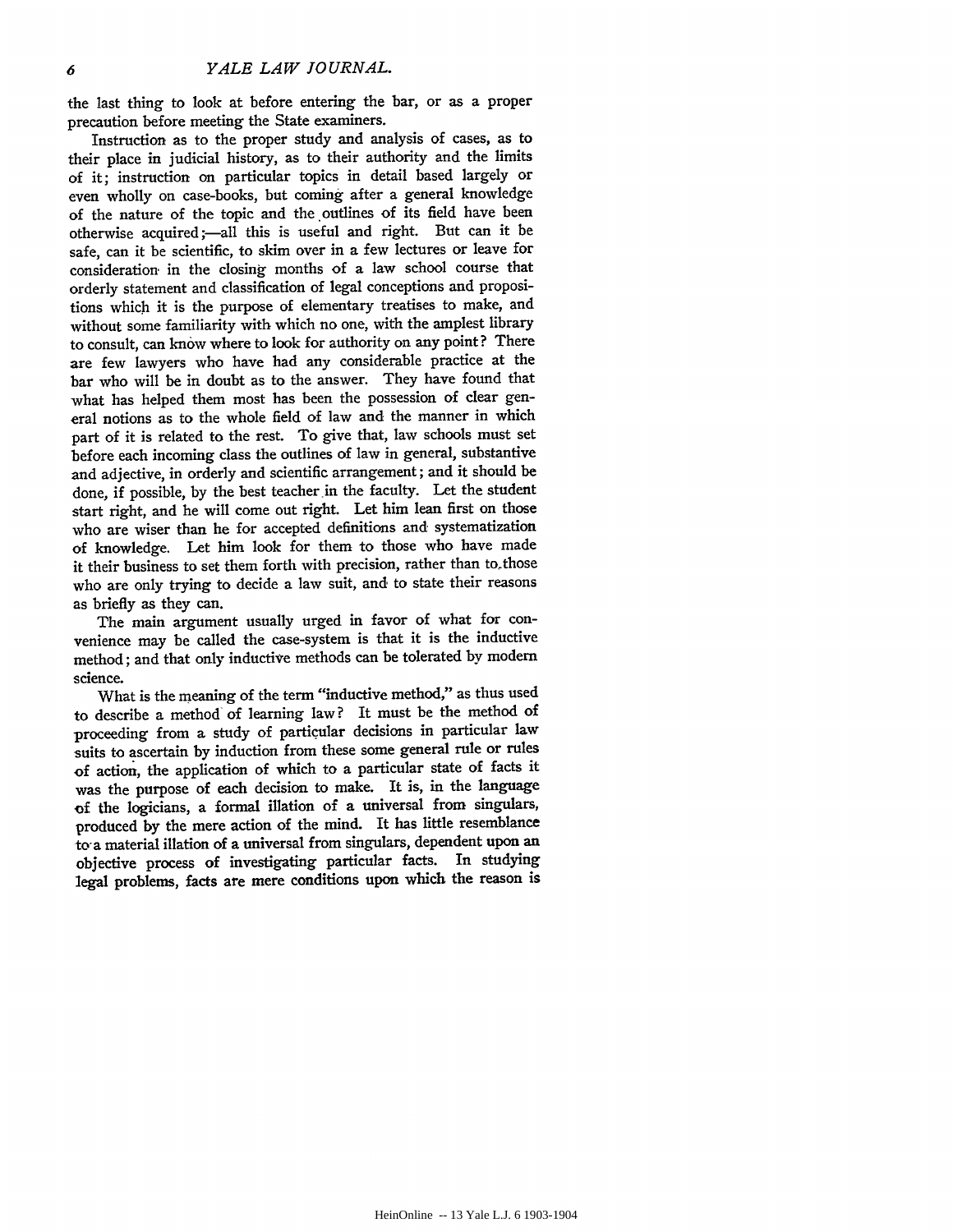the last thing to look at before entering the bar, or as a proper precaution before meeting the State examiners.

Instruction as to the proper study and analysis of cases, as to their place in judicial history, as to their authority and the limits of it; instruction on particular topics in detail based largely or even wholly on case-books, but coming after a general knowledge of the nature of the topic and the outlines of its field have been otherwise acquired;--all this is useful and right. But can it be safe, can it be scientific, to skim over in a few lectures or leave for consideration in the closing months of a law school course that orderly statement and classification of legal conceptions and propositions which it is the purpose of elementary treatises to make, and without some familiarity with which no one, with the amplest library to consult, can know where to look for authority on any point? There are few lawyers who have had any considerable practice at the bar who will be in doubt as to the answer. They have found that what has helped them most has been the possession of clear general notions as to the whole field of law and the manner in which part of it is related to the rest. To give that, law schools must set before each incoming class the outlines of law in general, substantive and adjective, in orderly and scientific arrangement; and it should be done, if possible, by the best teacher in the faculty. Let the student start right, and he will come out right. Let him lean first on those who are wiser than he for accepted definitions and systematization of knowledge. Let him look for them to those who have made it their business to set them forth with precision, rather than to those who are only trying to decide a law suit, and to state their reasons as briefly as they can.

The main argument usually urged in favor of what for convenience may be called the case-system is that it is the inductive method; and that only inductive methods can be tolerated by modem science.

What is the meaning of the term "inductive method," as thus used to describe a method of learning law? It must be the method of proceeding from a study of particular decisions in particular law suits to ascertain **by** induction from these some general rule or rules **of** action, the application of which to a particular state of facts it was the purpose of each decision to make. It is, in the language of the logicians, a formal illation of a universal from singulars, produced **by** the mere action of the mind. It has little resemblance to-a material illation of a universal from singulars, dependent upon an objective process of investigating particular facts. In studying legal problems, facts are mere conditions upon which the reason is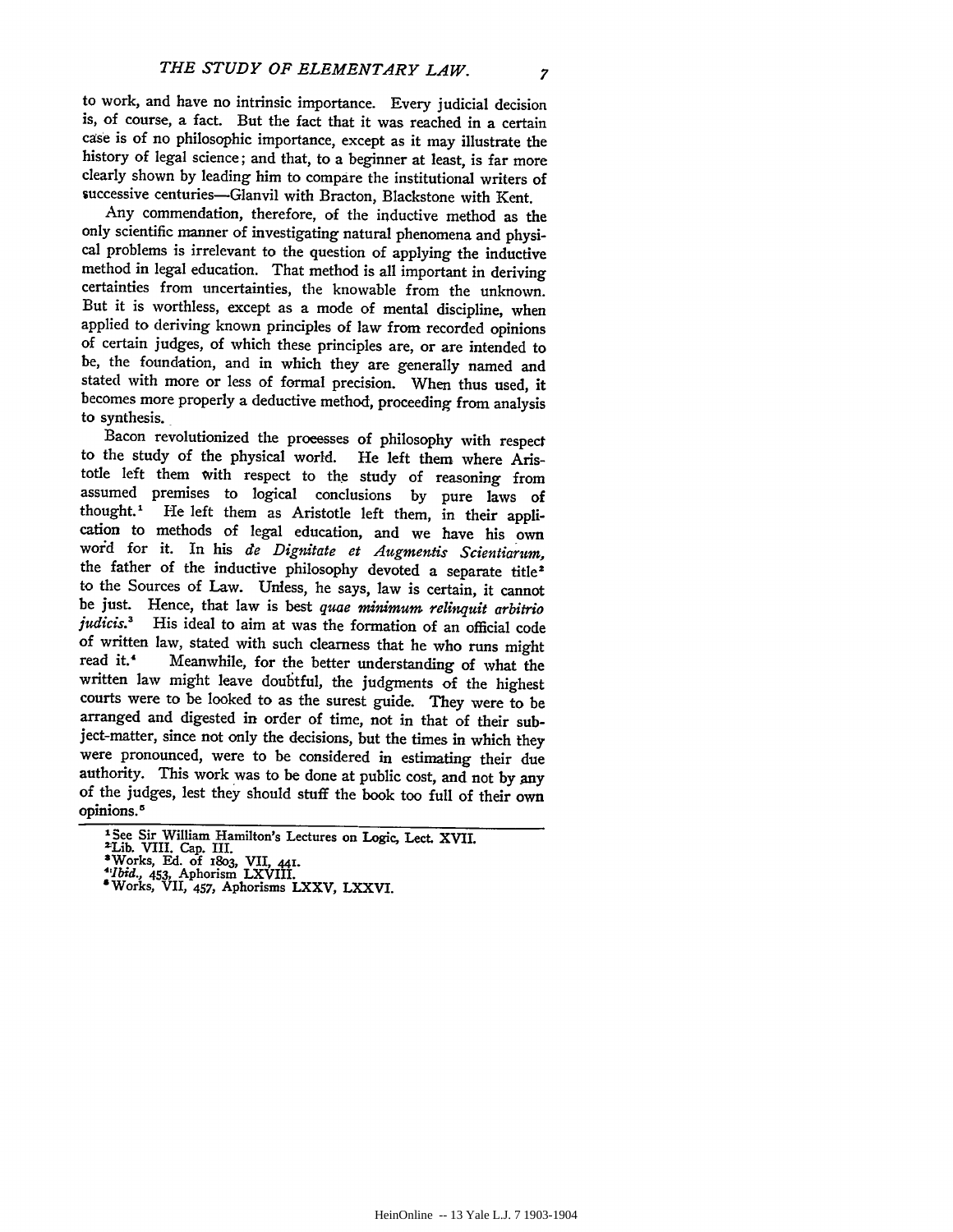to work, and have no intrinsic importance. Every judicial decision is, of course, a fact. But the fact that it was reached in a certain case is of no philosophic importance, except as it may illustrate the history of legal science; and that, to a beginner at least, is far more clearly shown **by** leading him to compare the institutional writers of successive centuries-Glanvil with Bracton, Blackstone with Kent.

Any commendation, therefore, of the inductive method as the only scientific manner of investigating natural phenomena and physi- cal problems is irrelevant to the question of applying the inductive method in legal education. That method is all important in deriving certainties from uncertainties, the knowable from the unknown. But it is worthless, except as a mode of mental discipline, when applied to deriving known principles of law from recorded opinions of certain judges, of which these principles are, or are intended to be, the foundation, and in which they are generally named and stated with more or less of formal precision. When thus used, it becomes more properly a deductive method, proceeding from analysis to synthesis.

Bacon revolutionized the processes of philosophy with respect to the study of the physical world. He left them where Aristotle left them with respect to the study of reasoning from assumed premises to logical conclusions **by** pure laws of cation to methods of legal education, and we have his own woid for it. In his *de Dignitate et Augmentis Scientiarum,* the father of the inductive philosophy devoted a separate title' to the Sources of Law. Unless, he says, law is certain, it cannot be just. Hence, that law is best *quae minimum relinquit arbitrio* His ideal to aim at was the formation of an official code of written law, stated with such clearness that he who runs might read it.4 Meanwhile, for the better understanding of what the written law might leave doubtful, the judgments of the highest courts were to be looked to as the surest guide. They were to be arranged and digested in order of time, not in that of their subject-matter, since not only the decisions, but the times in which they were pronounced, were to be considered in estimating their due authority. This work was to be done at public cost, and not **by any** of the judges, lest they should stuff the book too full of their own opinions.<sup>5</sup>

 $\overline{z}$ 

<sup>&#</sup>x27;See Sir William Hamilton's Lectures on Logic, Lect. XVII.

<sup>-</sup>Lib. VIII. Cap. III.

<sup>3</sup>Works, *<sup>4</sup>* **Ed.** of **1803,** VII, 44. *ibid.,* 453, Aphorism LXVIII. &Works, VII, 457, Aphorisms LXXV, LXXVI.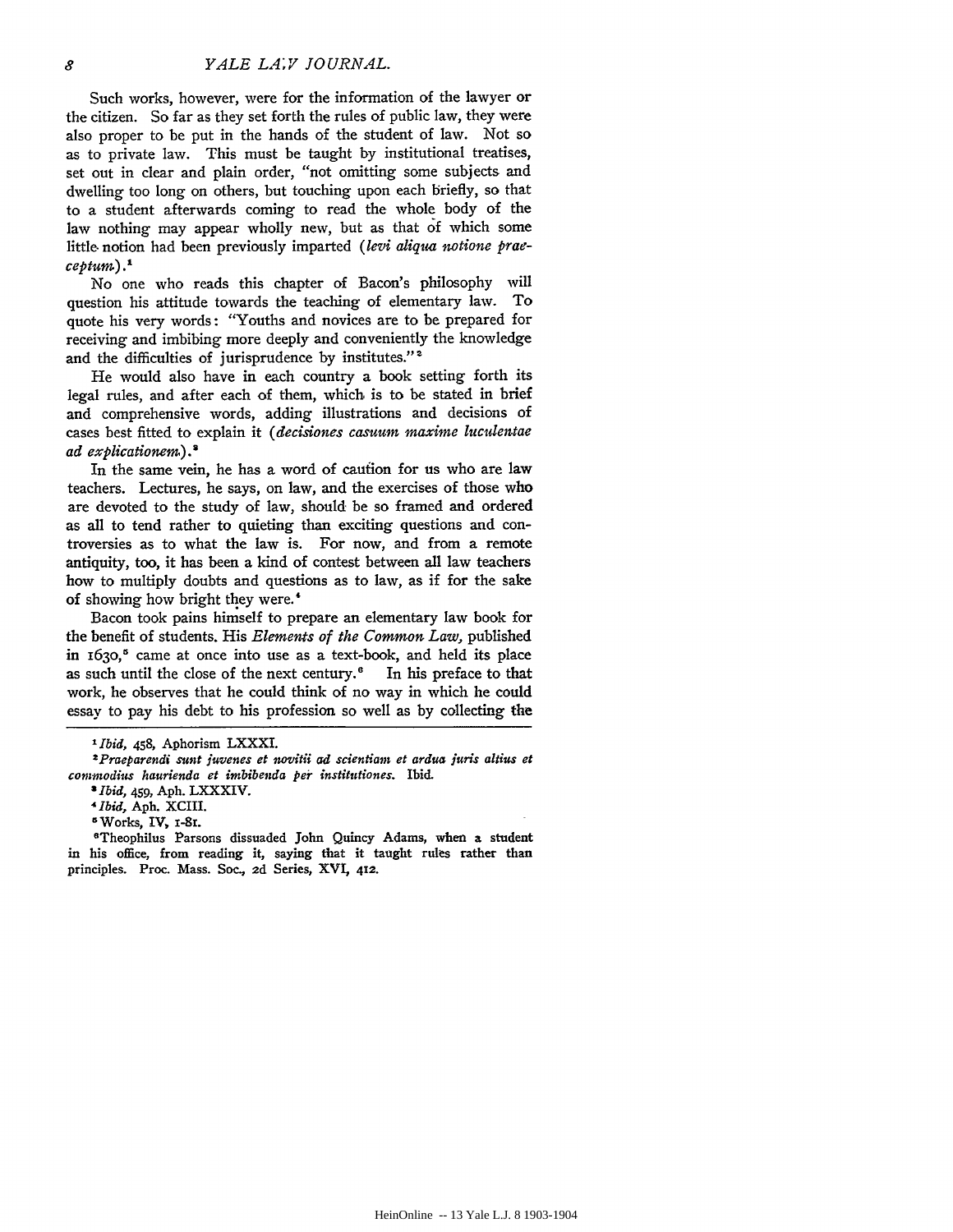Such works, however, were for the information of the lawyer or the citizen. So far as they set forth the rules of public law, they were also proper to be put in the hands of the student of law. Not so as to private law. This must be taught by institutional treatises, set out in clear and plain order, "not omitting some subjects and dwelling too long on others, but touching upon each briefly, so that to a student afterwards coming to read the whole body of the law nothing may appear wholly new, but as that of which some little, notion had been previously imparted *(levi aliqua notione praeceptum).*

No one who reads this chapter of Bacon's philosophy will question his attitude towards the teaching of elementary law. To quote his very words: "Youths and novices are to be prepared for receiving and imbibing more deeply and conveniently the knowledge and the difficulties of jurisprudence by institutes."<sup>2</sup>

He would also have in each country a book setting forth its legal rules, and after each of them, which is to be stated in brief and comprehensive words, adding illustrations and decisions of cases best fitted to explain it *(decisiones casuum maxime luciden-tae ad explicationem).3*

In the same vein, he has a word of caution for us who are law teachers. Lectures, he says, on law, and the exercises of those who are devoted to the study of law, should be so framed and ordered as all to tend rather to quieting than exciting questions and controversies as to what the law is. For now, and from a remote antiquity, too, it has been a kind of contest between all law teachers how to multiply doubts and questions as to law, as if for the sake of showing how bright they were.'

Bacon took pains himself to prepare an elementary law book for the benefit of students. His *Elements of the Common Law,* published in  $1630$ ,<sup> $s$ </sup> came at once into use as a text-book, and held its place as such until the close of the next century. $^6$  In his preface to that work, he observes that he could think of no way in which he could essay to pay his debt to his profession so well as **by** collecting the

8 Theophilus Parsons dissuaded John Quincy Adams, when a student in his office, from reading it, saying that it taught rules rather than principles. Proc. Mass. **Soc., 2d** Series, XVI, **412.**

*<sup>&#</sup>x27;Ibid,* 458, Aphorism LXXXI.

*<sup>2</sup>Praeparendi sunt juvenes et novitii ad scientiant et ardua juris altius et conmnodius haurienda et imbibenda per institutiones.* Ibid.

*<sup>2</sup>Ibid,* 459, **Aph.** LXXXIV. *<sup>4</sup>*

*Ibid,* **Aph.** XCIII.

<sup>5</sup> Works, IV, I-81.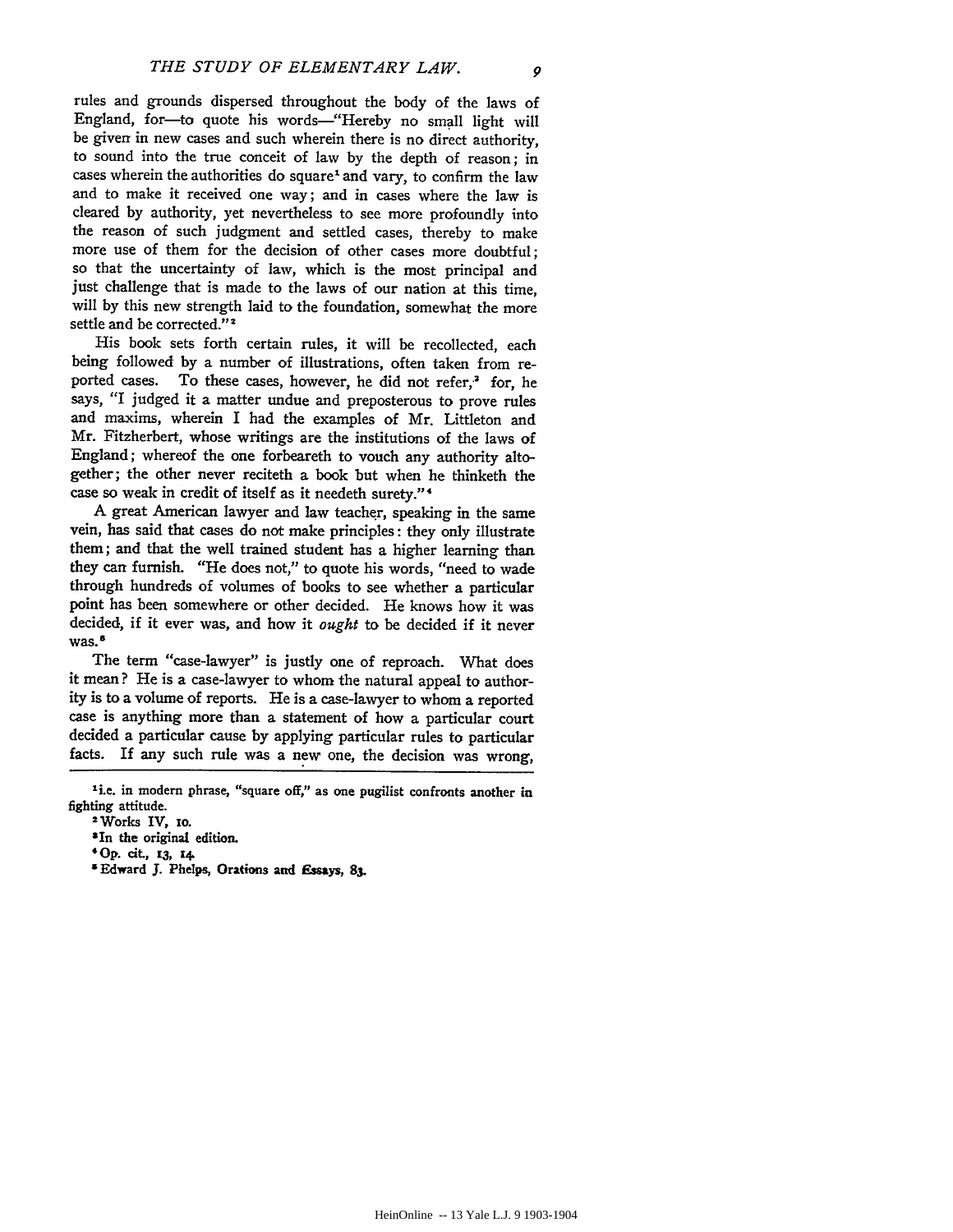rules and grounds dispersed throughout the body of the laws of England, for-to quote his words-"Hereby no small light will be given in new cases and such wherein there is no direct authority, to sound into the true conceit of law by the depth of reason; in cases wherein the authorities do square' and vary, to confirm the law and to make it received one way; and in cases where the law is cleared by authority, yet nevertheless to see more profoundly into the reason of such judgment and settled cases, thereby to make more use of them for the decision of other cases more doubtful; so that the uncertainty of law, which is the most principal and just challenge that is made to the laws of our nation at this time, will by this new strength laid to the foundation, somewhat the more settle and be corrected."<sup>2</sup>

His book sets forth certain rules, it will be recollected, each being followed by a number of illustrations, often taken from reported cases. To these cases, however, he did not refer,<sup>2</sup> for, he says, "I judged it a matter undue and preposterous to prove rules and maxims, wherein I had the examples of Mr. Littleton and Mr. Fitzherbert, whose writings are the institutions of the laws of England; whereof the one forbeareth to vouch any authority altogether; the other never reciteth a book but when he thinketh the case so weak in credit of itself as it needeth surety."<sup>4</sup>

A great American lawyer and law teacher, speaking in the same vein, has said that cases do not make principles: they only illustrate them; and that the well trained student has a higher learning than they can furnish. "He does not," to quote his words, "need to wade through hundreds of volumes of books to see whether a particular point has been somewhere or other decided. He knows how it was decided, if it ever was, and how it ought to be decided if it never was.<sup>6</sup>

The term "case-lawyer" is justly one of reproach. What does it mean? He is a case-lawyer to whom the natural appeal to authority is to a volume of reports. He is a case-lawyer to whom a reported case is anything more than a statement of how a particular court decided a particular cause **by** applying particular rules to particular facts. If any such rule was a new one, the decision was wrong,

- 'Op. cit., **[3,** [4.
- **'** Edward **J.** Phelps, Orations **and Emays, 83.**

 $\boldsymbol{q}$ 

**<sup>&#</sup>x27;i.e.** in modem phrase, "square off," as one pugilist confronts another in fighting attitude.

<sup>2</sup>Works IV, **io.**

<sup>&</sup>lt;sup>\*</sup>In the original edition.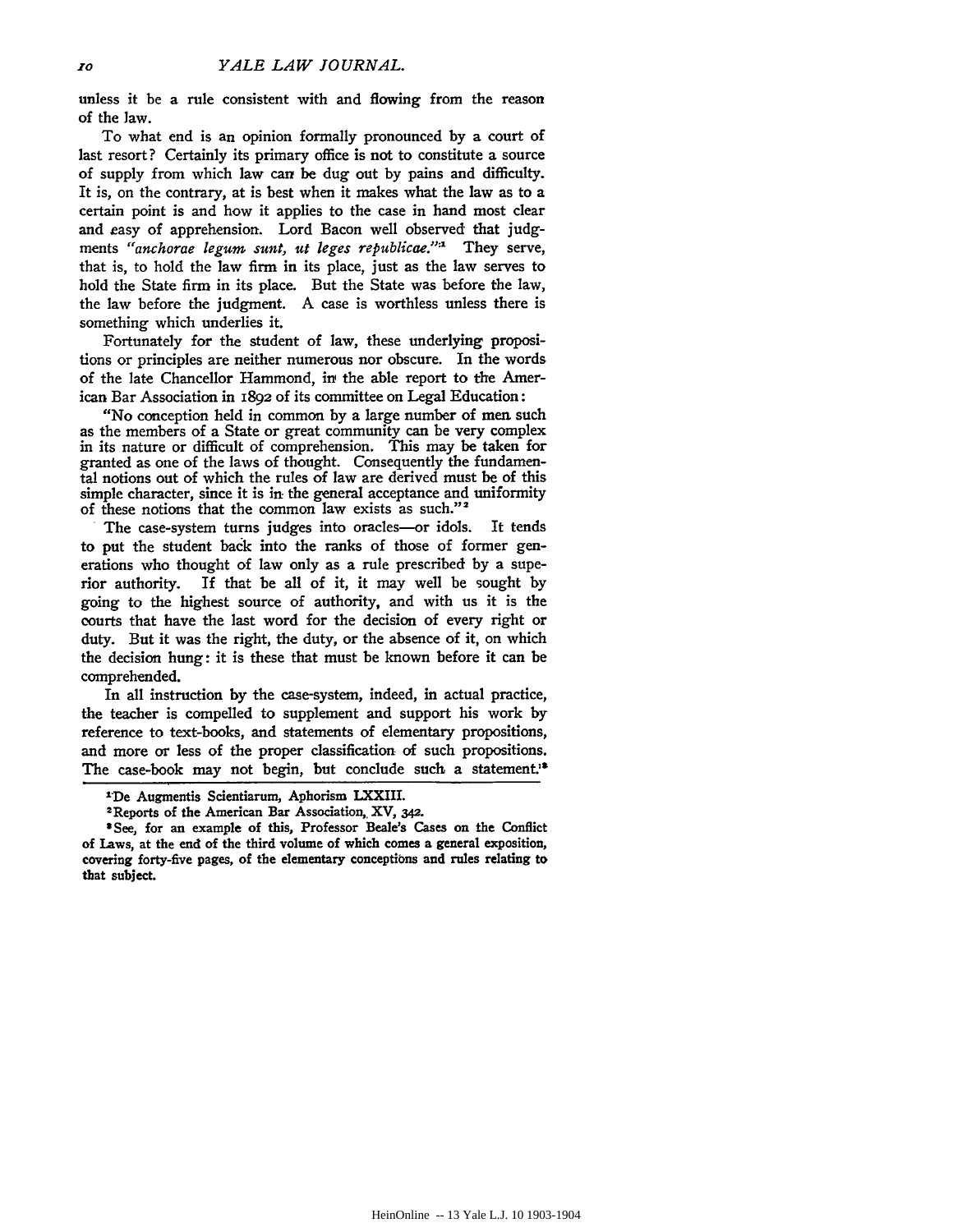unless it be a rule consistent with and flowing from the reason of the Jaw.

To what end is an opinion formally pronounced by a court of last resort? Certainly its primary office is not to constitute a source of supply from which law can **be** dug out by pains and difficulty. It is, on the contrary, at is best when it makes what the law as to a certain point is and how it applies to the case in hand most clear and easy of apprehension. Lord Bacon well observed that judgments "anchorae legum sunt, ut leges republicae."<sup>1</sup> They serve, that is, to hold the law firm in its place, just as the law serves to hold the State firm in its place. But the State was before the law, the law before the judgment. A case is worthless unless there is something which underlies it.

Fortunately for the student of law, these underlying propositions or principles are neither numerous nor obscure. In the words of the late Chancellor Hammond, in the able report to the American Bar Association in **1892** of its committee on Legal Education:

"No conception held in common by a large number of men such as the members of a State or great community can be very complex in its nature or difficult of comprehension. This may be taken for granted as one of the laws of thought. Consequently the fundamental notions out of which the rules of law are derived must be of this simple character, since it is in. the general acceptance and uniformity of these notions that the common law exists as such."

The case-system turns judges into oracles—or idols. It tends to put the student back into the ranks of those of former generations who thought of law only as a rule prescribed by a superior authority. **If** that be all of it, it may well be sought by going to the highest source of authority, and with us it is the courts that have the last word for the decision of every right or duty. But it was the right, the duty, or the absence of it, on which the decision hung: it is these that must be known before it can be comprehended.

In all instruction by the case-system, indeed, in actual practice, the teacher is compelled to supplement and support his work by reference to text-books, and statements of elementary propositions, and more or less of the proper classification of such propositions. The case-book may not begin, but conclude such a statement.<sup> $*$ </sup>

**<sup>1</sup>De** Augmentis Scientiarum, Aphorism LXXIIL 2Reports of the American Bar Association,. XV, **342.**

**<sup>\*</sup>See,** for an example of this, Professor Beale's Cases on the Conflict of laws, at the end of the third volume of which comes a general exposition, covering forty-five pages, of the elementary conceptibns and rules relating to that subject.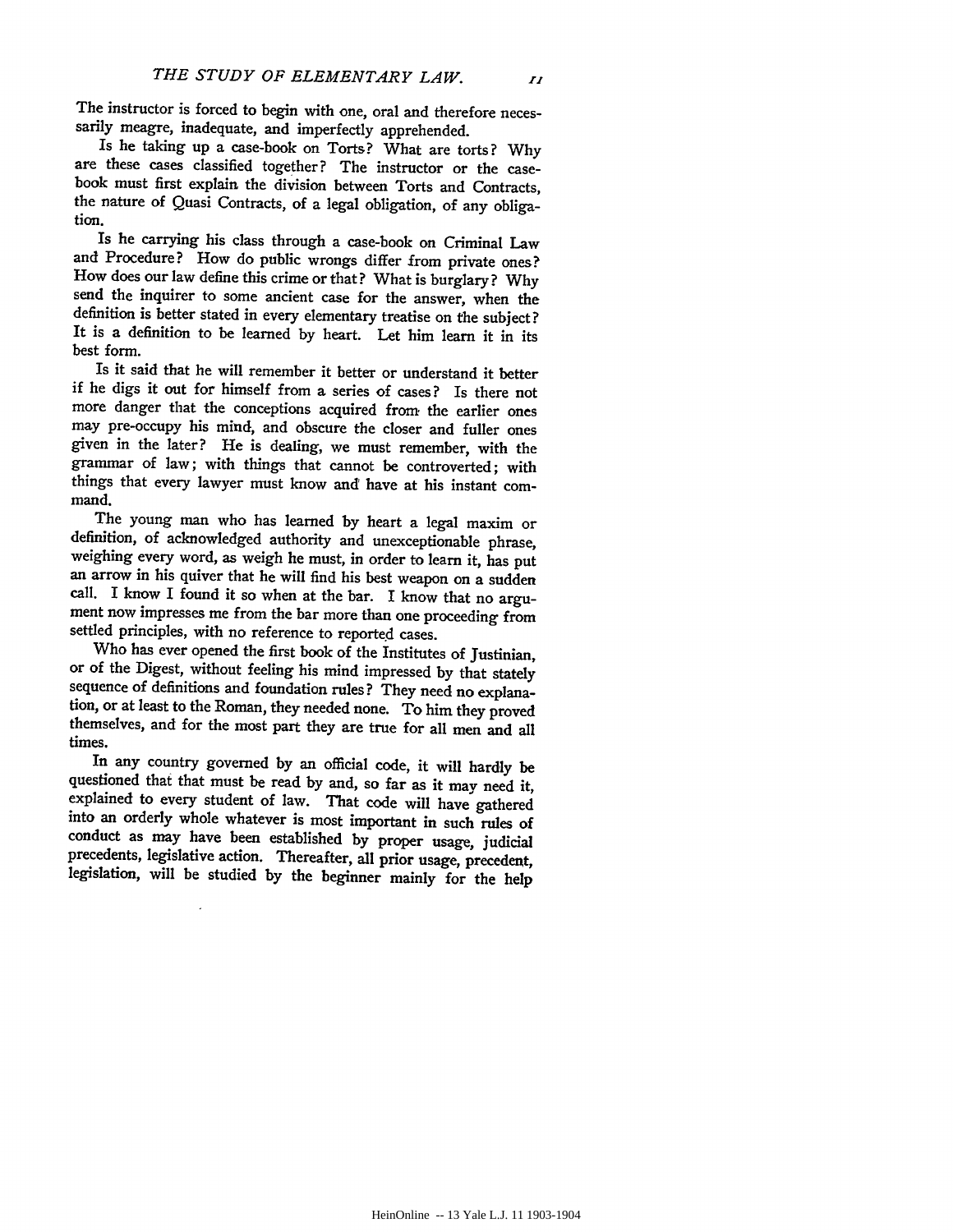The instructor is forced to begin with one, oral and therefore necessarily meagre, inadequate, and imperfectly apprehended.

Is he taking up a case-book on Torts? What are torts? Why are these cases classified together? The instructor or the casebook must first explain the division between Torts and Contracts, the nature of Quasi Contracts, of a legal obligation, of any obligation.

Is he carrying his class through a case-book on Criminal Law and Procedure? How do public wrongs differ from private ones?<br>How does our law define this crime or that? What is burglary? Why send the inquirer to some ancient case for the answer, when the definition is better stated in every elementary treatise on the subject? It is a definition to be learned by heart. Let him learn it in its best form.

Is it said that he will remember it better or understand it better if he digs it out for himself from a series of cases? Is there not more danger that the conceptions acquired from the earlier ones may pre-occupy his mind, and obscure the closer and fuller ones given in the later? He is dealing, we must remember, with the grammar of law; with things that cannot be controverted; with things that every lawyer must know and have at his instant command.

The young man who has learned **by** heart a legal maxim or definition, of acknowledged authority and unexceptionable phrase, weighing every word, as weigh he must, in order to learn it, has put an arrow in his quiver that he will find his best weapon on a sudden call. I know I found it so when at the bar. I know that no argument now impresses me from the bar more than one proceeding from settled principles, with no reference to reported cases.

Who has ever opened the first book of the Institutes of Justinian, or of the Digest, without feeling his mind impressed **by** that stately tion, or at least to the Roman, they needed none. To him they proved themselves, and for the most part they are true for all men and all times.

In any country governed **by** an official code, it will hardly be questioned that that must be read **by** and, so far as it may need it, explained to every student of law. That code will have gathered into an orderly whole whatever is most important in such rules of conduct as may have been established **by** proper usage, judicial precedents, legislative action. Thereafter, all prior usage, precedent, legislation, will be studied **by** the beginner mainly for the help

 $\overline{r}$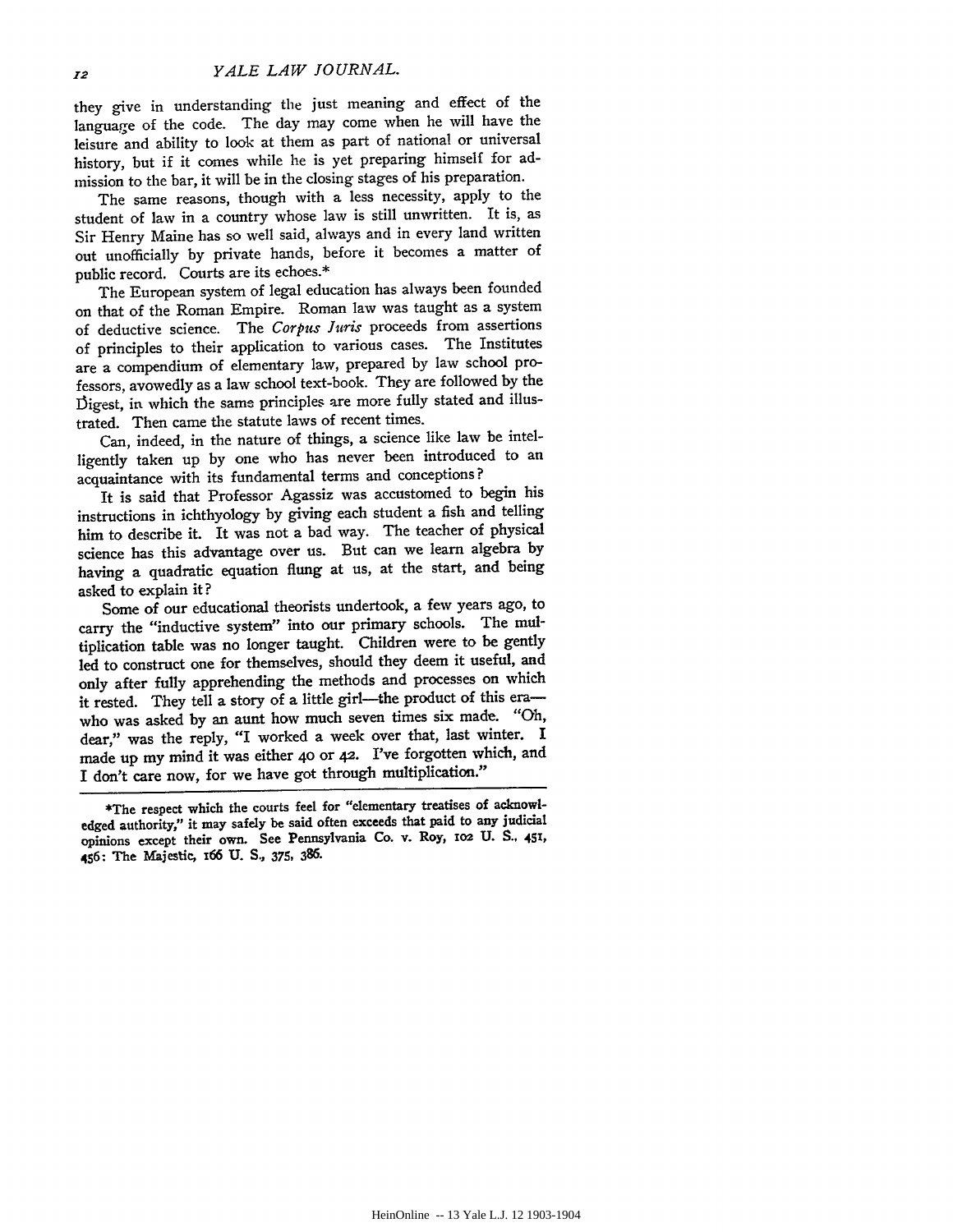they give in understanding the just meaning and effect of the language of the code. The day may come when he will have the leisure and ability to look at them as part of national or universal history, but if it comes while he is yet preparing himself for admission to the bar, it will be in the closing stages of his preparation.

The same reasons, though with a less necessity, apply to the student of law in a country whose law is still unwritten. It is, as Sir Henry Maine has so well said, always and in every land written out unofficially by private hands, before it becomes a matter of public record. Courts are its echoes.\*

The European system of legal education has always been founded on that of the Roman Empire. Roman law was taught as a system of deductive science. The *Corpus Juris* proceeds from assertions of principles to their application to various cases. The Institutes are a compendium of elementary law, prepared by law school professors, avowedly as a law school text-book. They are followed by the Digest, in which the same principles are more fully stated and illustrated. Then came the statute laws of recent times.

Can, indeed, in the nature of things, a science like law be intelligently taken up by one who has never been introduced to an acquaintance with its fundamental terms and conceptions?

It is said that Professor Agassiz was accustomed to begin his instructions in ichthyology by giving each student a fish and telling him to describe it. It was not a bad way. The teacher of physical science has this advantage over us. But can we learn algebra by having a quadratic equation flung at us, at the start, and being asked to explain it?

Some of our educational theorists undertook, a few years ago, to carry the "inductive system" into our primary schools. The multiplication table was no longer taught. Children were to be gently led to construct one for themselves, should they deem it useful, and only after fully apprehending the methods and processes on which it rested. They tell a story of a little girl-the product of this erawho was asked by an aunt how much seven times six made. "Oh, dear," was the reply, "I worked a week over that, last winter. I made up my mind it was either 40 or 42. I've forgotten which, and I don't care now, for we have got through multiplication."

<sup>\*</sup>The respect which the courts feel for "elementary treatises of acknowledged authority," **it** may safely be said often exceeds that paid to any judicial opinions except their own. See Pennsylvania Co. v. Roy, **1O2 U. S., 451, 456:** The Majestic, **x66 U. S., 375,** 386.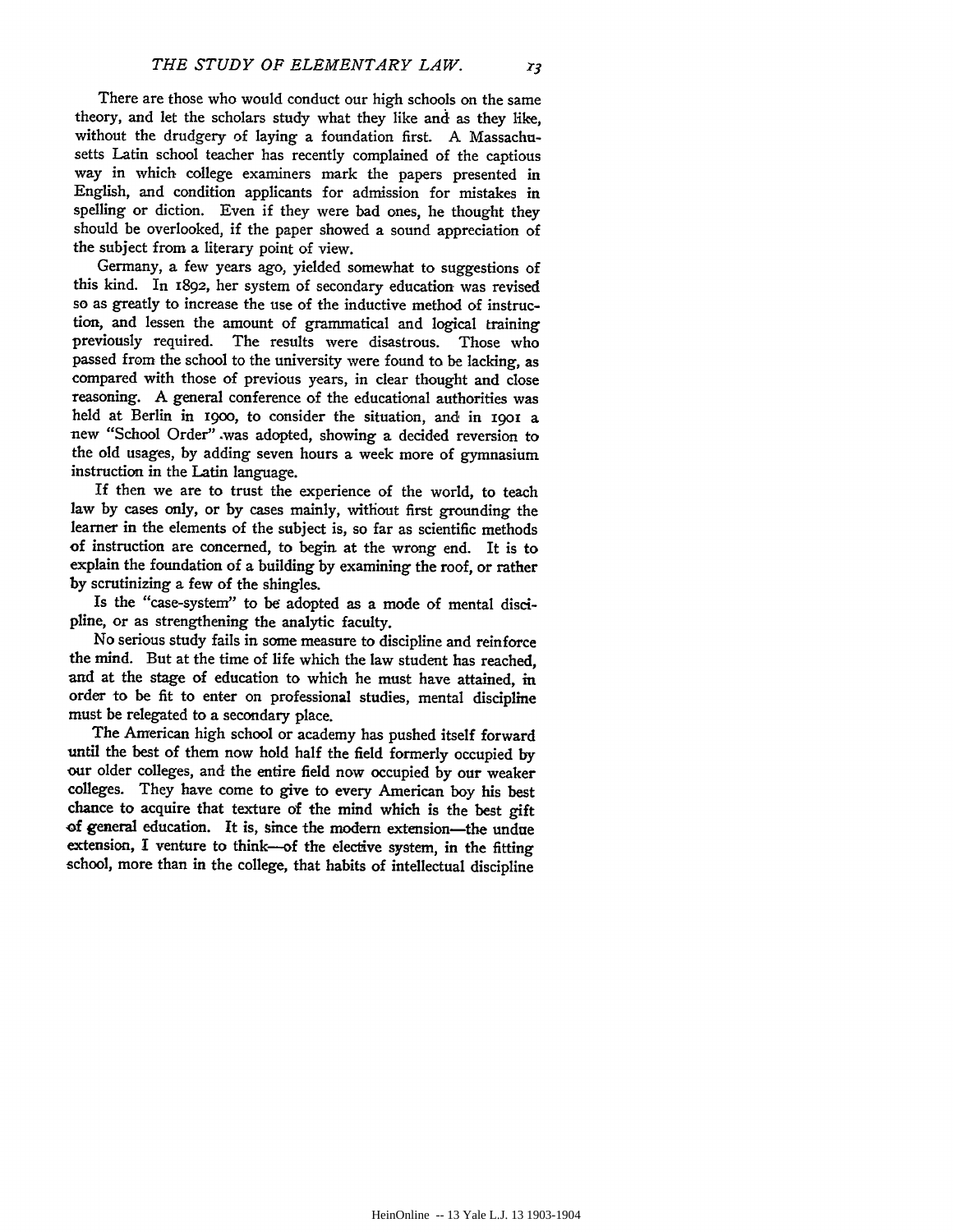There are those who would conduct our high schools on the same theory, and let the scholars study what they like and as they like, without the drudgery of laying a foundation first. A Massachusetts Latin school teacher has recently complained of the captious way in which college examiners mark the papers presented in English, and condition applicants for admission for mistakes in spelling or diction. Even if they were bad ones, he thought they should be overlooked, if the paper showed a sound appreciation of the subject from a literary point of view.

Germany, a few years ago, yielded somewhat to suggestions of this kind. In 1892, her system of secondary education was revised so as greatly to increase the use of the inductive method of instruction, and lessen the amount of grammatical and logical training previously required. The results were disastrous. Those who passed from the school to the university were found to be lacking, as compared with those of previous years, in clear thought and close reasoning. A general conference of the educational authorities was held at Berlin in I9oo, to consider the situation, and in **19oi** a new "School Order" .was adopted, showing a decided reversion to the old usages, by adding seven hours a week more of gymnasium instruction in the Latin language.

If then we are to trust the experience of the world, to teach law by cases only, or by cases mainly, without first grounding the learner in the elements of the subject is, so far as scientific methods of instruction are concerned, to begin at the wrong end. It is to explain the foundation of a building by examining the roof, or rather by scrutinizing a few of the shingles.

Is the "case-system" to be adopted as a mode of mental discipline, or as strengthening the analytic faculty.

No serious study fails in some measure to discipline and reinforce the mind. But at the time of life which the law student has reached, and at the stage of education to which he must have attained, in order to be fit to enter on professional studies, mental discipline must be relegated to a secondary place.

The American high school or academy has pushed itself forward until the best of them now hold half the field formerly occupied **by** our older colleges, and the entire field now occupied by our weaker colleges. They have come to give to every American boy his best chance to acquire that texture of the mind which is the best gift of general education. It is, since the modern extension-the undue extension, **I** venture to think--of the elective system, in the fitting school, more than in the college, that habits of intellectual discipline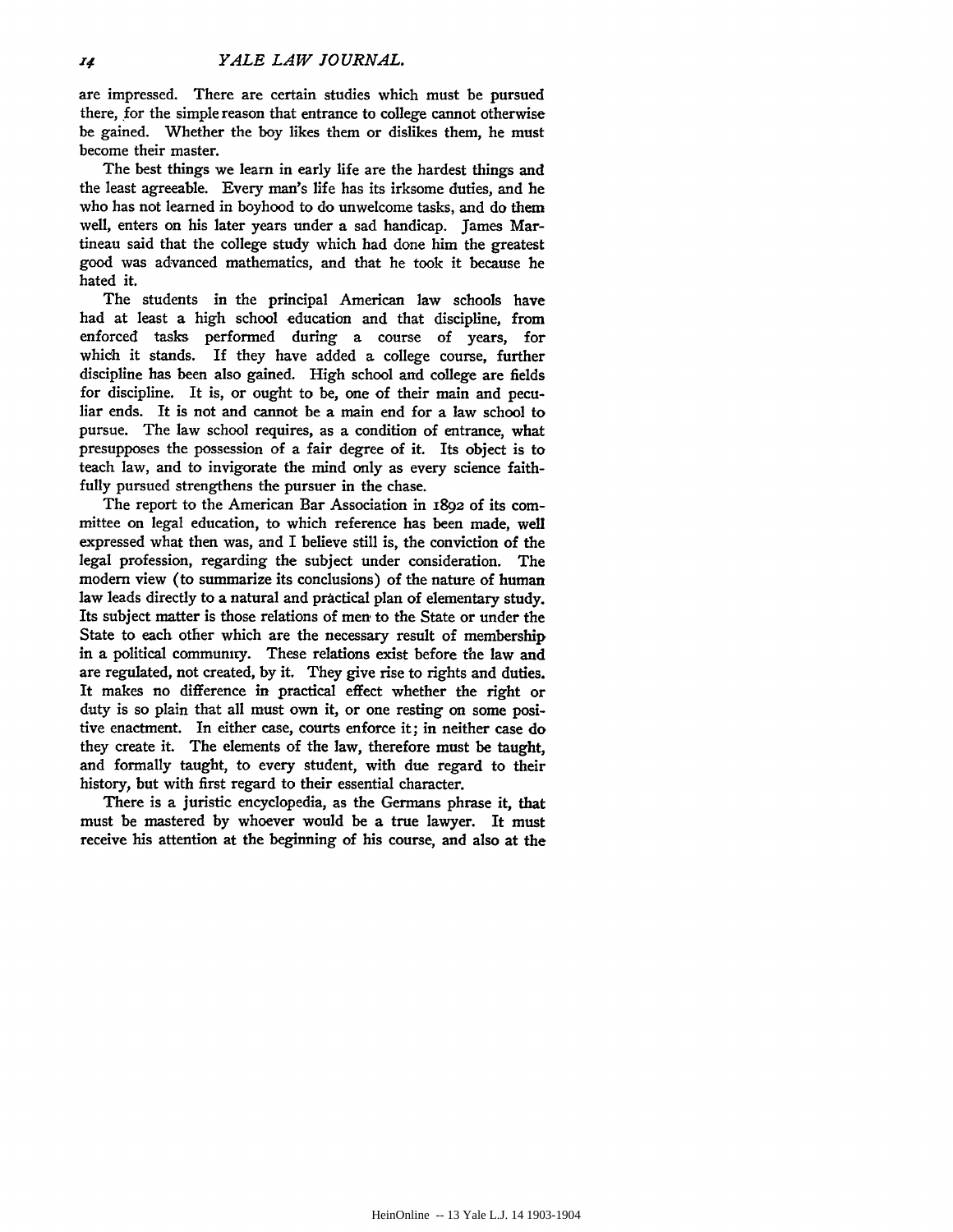are impressed. There are certain studies which must be pursued there, for the simple reason that entrance to college cannot otherwise be gained. Whether the boy likes them or dislikes them, he must become their master.

The best things we learn in early life are the hardest things and the least agreeable. Every man's life has its irksome duties, and he who has not learned in boyhood to do unwelcome tasks, and do them well, enters on his later years under a sad handicap. James Martineau said that the college study which had done him the greatest good was advanced mathematics, and that he took it because he hated it.

The students in the principal American law schools have had at least a high school education and that discipline, from enforced tasks performed during a course of years, for which it stands. If they have added a college course, further discipline has been also gained. High school and college are fields for discipline. It is, or ought to be, one of their main and peculiar ends. It is not and cannot be a main end for a law school to pursue. The law school requires, as a condition of entrance, what presupposes the possession of a fair degree of it. Its object is to teach law, and to invigorate the mind only as every science faithfully pursued strengthens the pursuer in the chase.

The report to the American Bar Association in 1892 of its committee on legal education, to which reference has been made, well expressed what then was, and I believe still is, the conviction of the legal profession, regarding the subject under consideration. The modem view (to summarize its conclusions) of the nature of human law leads directly to a natural and practical plan of elementary study. Its subject matter is those relations of men to the State or under the State to each other which are the necessary result of membership in a political communiry. These relations exist before the law and are regulated, not created, by it. They give rise to rights and duties. It makes no difference in practical effect whether the right or duty is so plain that all must own it, or one resting on some positive enactment. In either case, courts enforce it; in neither case do they create it. The elements of the law, therefore must be taught, and formally taught, to every student, with due regard to their history, but with first regard to their essential character.

There is a juristic encyclopedia, as the Germans phrase it, that must be mastered by whoever would be a true lawyer. It must receive his attention at the beginning of his course, and also at the